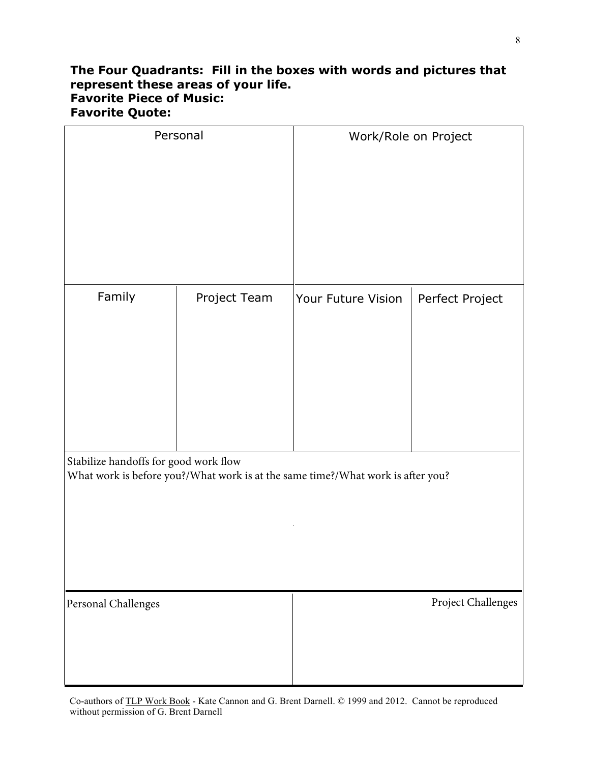## **The Four Quadrants: Fill in the boxes with words and pictures that represent these areas of your life. Favorite Piece of Music: Favorite Quote:**

| Personal                                                                                                                 |              | Work/Role on Project |                    |
|--------------------------------------------------------------------------------------------------------------------------|--------------|----------------------|--------------------|
|                                                                                                                          |              |                      |                    |
| Family                                                                                                                   | Project Team | Your Future Vision   | Perfect Project    |
| Stabilize handoffs for good work flow<br>What work is before you?/What work is at the same time?/What work is after you? |              |                      |                    |
| Personal Challenges                                                                                                      |              |                      | Project Challenges |

Co-authors of TLP Work Book - Kate Cannon and G. Brent Darnell. © 1999 and 2012. Cannot be reproduced without permission of G. Brent Darnell